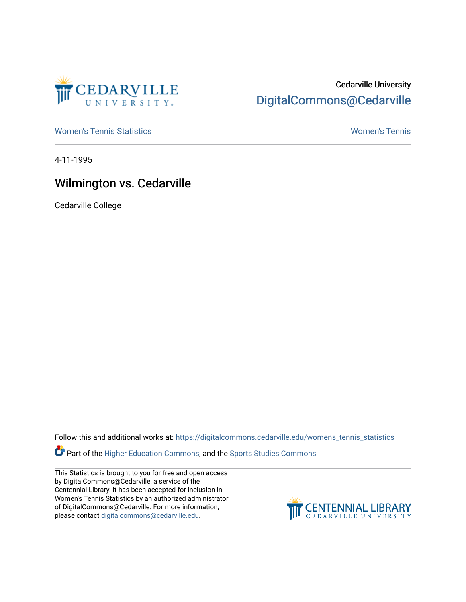

## Cedarville University [DigitalCommons@Cedarville](https://digitalcommons.cedarville.edu/)

[Women's Tennis Statistics](https://digitalcommons.cedarville.edu/womens_tennis_statistics) [Women's Tennis](https://digitalcommons.cedarville.edu/womens_tennis) 

4-11-1995

## Wilmington vs. Cedarville

Cedarville College

Follow this and additional works at: [https://digitalcommons.cedarville.edu/womens\\_tennis\\_statistics](https://digitalcommons.cedarville.edu/womens_tennis_statistics?utm_source=digitalcommons.cedarville.edu%2Fwomens_tennis_statistics%2F192&utm_medium=PDF&utm_campaign=PDFCoverPages) 

**Part of the [Higher Education Commons,](http://network.bepress.com/hgg/discipline/1245?utm_source=digitalcommons.cedarville.edu%2Fwomens_tennis_statistics%2F192&utm_medium=PDF&utm_campaign=PDFCoverPages) and the Sports Studies Commons** 

This Statistics is brought to you for free and open access by DigitalCommons@Cedarville, a service of the Centennial Library. It has been accepted for inclusion in Women's Tennis Statistics by an authorized administrator of DigitalCommons@Cedarville. For more information, please contact [digitalcommons@cedarville.edu](mailto:digitalcommons@cedarville.edu).